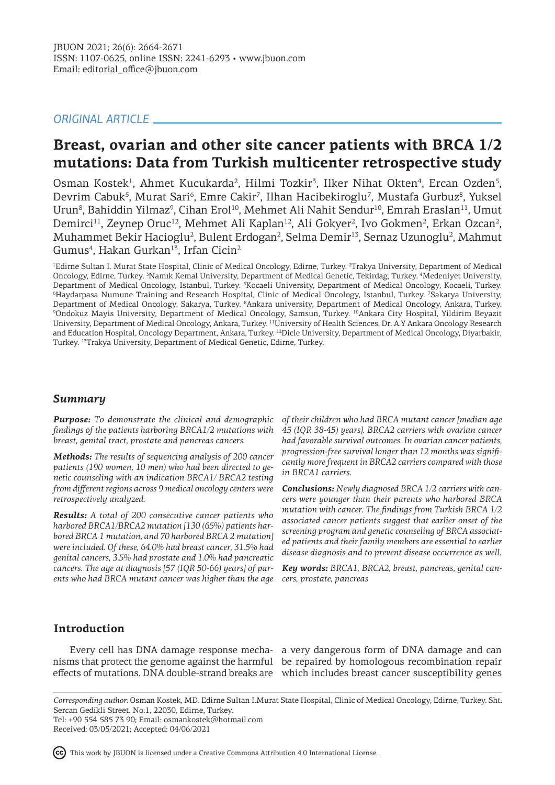## *ORIGINAL ARTICLE*

# **Breast, ovarian and other site cancer patients with BRCA 1/2 mutations: Data from Turkish multicenter retrospective study**

Osman Kostek<sup>1</sup>, Ahmet Kucukarda<sup>2</sup>, Hilmi Tozkir<sup>3</sup>, Ilker Nihat Okten<sup>4</sup>, Ercan Ozden<sup>5</sup>, Devrim Cabuk<sup>5</sup>, Murat Sari<sup>6</sup>, Emre Cakir<sup>7</sup>, Ilhan Hacibekiroglu<sup>7</sup>, Mustafa Gurbuz<sup>8</sup>, Yuksel Urun<sup>8</sup>, Bahiddin Yilmaz<sup>9</sup>, Cihan Erol<sup>10</sup>, Mehmet Ali Nahit Sendur<sup>10</sup>, Emrah Eraslan<sup>11</sup>, Umut Demirci<sup>11</sup>, Zeynep Oruc<sup>12</sup>, Mehmet Ali Kaplan<sup>12</sup>, Ali Gokyer<sup>2</sup>, Ivo Gokmen<sup>2</sup>, Erkan Ozcan<sup>2</sup>, Muhammet Bekir Hacioglu<sup>2</sup>, Bulent Erdogan<sup>2</sup>, Selma Demir<sup>13</sup>, Sernaz Uzunoglu<sup>2</sup>, Mahmut Gumus<sup>4</sup>, Hakan Gurkan<sup>13</sup>, Irfan Cicin<sup>2</sup>

1 Edirne Sultan I. Murat State Hospital, Clinic of Medical Oncology, Edirne, Turkey. <sup>2</sup> Trakya University, Department of Medical Oncology, Edirne, Turkey. <sup>3</sup>Namık Kemal University, Department of Medical Genetic, Tekirdag, Turkey. <sup>4</sup>Medeniyet University, Department of Medical Oncology, Istanbul, Turkey. Kocaeli University, Department of Medical Oncology, Kocaeli, Turkey. 6 Haydarpasa Numune Training and Research Hospital, Clinic of Medical Oncology, Istanbul, Turkey. <sup>7</sup> Sakarya University, Department of Medical Oncology, Sakarya, Turkey. <sup>8</sup>Ankara university, Department of Medical Oncology, Ankara, Turkey. 9 Ondokuz Mayis University, Department of Medical Oncology, Samsun, Turkey. <sup>10</sup>Ankara City Hospital, Yildirim Beyazit University, Department of Medical Oncology, Ankara, Turkey. <sup>11</sup>University of Health Sciences, Dr. A.Y Ankara Oncology Research and Education Hospital, Oncology Department, Ankara, Turkey. <sup>12</sup>Dicle University, Department of Medical Oncology, Diyarbakir, Turkey. <sup>13</sup>Trakya University, Department of Medical Genetic, Edirne, Turkey.

# *Summary*

*Purpose: To demonstrate the clinical and demographic findings of the patients harboring BRCA1/2 mutations with breast, genital tract, prostate and pancreas cancers.*

*Methods: The results of sequencing analysis of 200 cancer patients (190 women, 10 men) who had been directed to genetic counseling with an indication BRCA1/ BRCA2 testing from different regions across 9 medical oncology centers were retrospectively analyzed.* 

*Results: A total of 200 consecutive cancer patients who harbored BRCA1/BRCA2 mutation [130 (65%) patients harbored BRCA 1 mutation, and 70 harbored BRCA 2 mutation] were included. Of these, 64.0% had breast cancer, 31.5% had genital cancers, 3.5% had prostate and 1.0% had pancreatic cancers. The age at diagnosis [57 (IQR 50-66) years] of parents who had BRCA mutant cancer was higher than the age* 

*of their children who had BRCA mutant cancer [median age 45 (IQR 38-45) years]. BRCA2 carriers with ovarian cancer had favorable survival outcomes. In ovarian cancer patients, progression-free survival longer than 12 months was significantly more frequent in BRCA2 carriers compared with those in BRCA1 carriers.* 

*Conclusions: Newly diagnosed BRCA 1/2 carriers with cancers were younger than their parents who harbored BRCA mutation with cancer. The findings from Turkish BRCA 1/2 associated cancer patients suggest that earlier onset of the screening program and genetic counseling of BRCA associated patients and their family members are essential to earlier disease diagnosis and to prevent disease occurrence as well.*

*Key words: BRCA1, BRCA2, breast, pancreas, genital cancers, prostate, pancreas*

# **Introduction**

nisms that protect the genome against the harmful be repaired by homologous recombination repair

Every cell has DNA damage response mecha-a very dangerous form of DNA damage and can effects of mutations. DNA double-strand breaks are which includes breast cancer susceptibility genes

*Corresponding author:* Osman Kostek, MD. Edirne Sultan I.Murat State Hospital, Clinic of Medical Oncology, Edirne, Turkey. Sht. Sercan Gedikli Street. No:1, 22030, Edirne, Turkey. Tel: +90 554 585 73 90; Email: osmankostek@hotmail.com

Received: 03/05/2021; Accepted: 04/06/2021

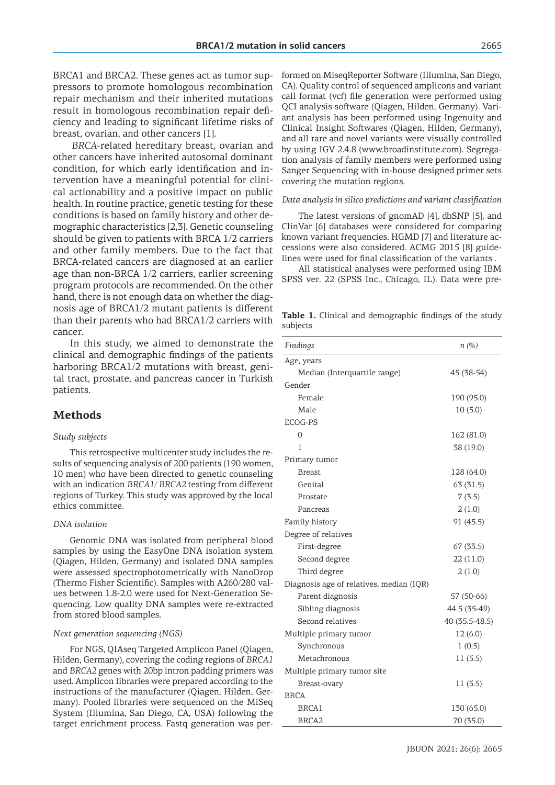BRCA1 and BRCA2. These genes act as tumor suppressors to promote homologous recombination repair mechanism and their inherited mutations result in homologous recombination repair deficiency and leading to significant lifetime risks of breast, ovarian, and other cancers [1].

*BRCA*-related hereditary breast, ovarian and other cancers have inherited autosomal dominant condition, for which early identification and intervention have a meaningful potential for clinical actionability and a positive impact on public health. In routine practice, genetic testing for these conditions is based on family history and other demographic characteristics [2,3]. Genetic counseling should be given to patients with BRCA 1/2 carriers and other family members. Due to the fact that BRCA-related cancers are diagnosed at an earlier age than non-BRCA 1/2 carriers, earlier screening program protocols are recommended. On the other hand, there is not enough data on whether the diagnosis age of BRCA1/2 mutant patients is different than their parents who had BRCA1/2 carriers with cancer.

In this study, we aimed to demonstrate the clinical and demographic findings of the patients harboring BRCA1/2 mutations with breast, genital tract, prostate, and pancreas cancer in Turkish patients.

### **Methods**

#### *Study subjects*

This retrospective multicenter study includes the results of sequencing analysis of 200 patients (190 women, 10 men) who have been directed to genetic counseling with an indication *BRCA1/ BRCA2* testing from different regions of Turkey. This study was approved by the local ethics committee.

#### *DNA isolation*

Genomic DNA was isolated from peripheral blood samples by using the EasyOne DNA isolation system (Qiagen, Hilden, Germany) and isolated DNA samples were assessed spectrophotometrically with NanoDrop (Thermo Fisher Scientific). Samples with A260/280 values between 1.8-2.0 were used for Next-Generation Sequencing. Low quality DNA samples were re-extracted from stored blood samples.

#### *Next generation sequencing (NGS)*

For NGS, QIAseq Targeted Amplicon Panel (Qiagen, Hilden, Germany), covering the coding regions of *BRCA1*  and *BRCA2* genes with 20bp intron padding primers was used. Amplicon libraries were prepared according to the instructions of the manufacturer (Qiagen, Hilden, Germany). Pooled libraries were sequenced on the MiSeq System (Illumina, San Diego, CA, USA) following the target enrichment process. Fastq generation was performed on MiseqReporter Software (Illumina, San Diego, CA). Quality control of sequenced amplicons and variant call format (vcf) file generation were performed using QCI analysis software (Qiagen, Hilden, Germany). Variant analysis has been performed using Ingenuity and Clinical Insight Softwares (Qiagen, Hilden, Germany), and all rare and novel variants were visually controlled by using IGV 2.4.8 (www.broadinstitute.com). Segregation analysis of family members were performed using Sanger Sequencing with in-house designed primer sets covering the mutation regions.

#### *Data analysis in silico predictions and variant classification*

The latest versions of gnomAD [4], dbSNP [5], and ClinVar [6] databases were considered for comparing known variant frequencies. HGMD [7] and literature accessions were also considered. ACMG 2015 [8] guidelines were used for final classification of the variants .

All statistical analyses were performed using IBM SPSS ver. 22 (SPSS Inc., Chicago, IL). Data were pre-

**Table 1.** Clinical and demographic findings of the study subjects

| Findings                                 | n(%)           |
|------------------------------------------|----------------|
| Age, years                               |                |
| Median (Interquartile range)             | 45 (38-54)     |
| Gender                                   |                |
| Female                                   | 190 (95.0)     |
| Male                                     | 10(5.0)        |
| ECOG-PS                                  |                |
| 0                                        | 162 (81.0)     |
| 1                                        | 38 (19.0)      |
| Primary tumor                            |                |
| <b>Breast</b>                            | 128 (64.0)     |
| Genital                                  | 63 (31.5)      |
| Prostate                                 | 7(3.5)         |
| Pancreas                                 | 2(1.0)         |
| Family history                           | 91 (45.5)      |
| Degree of relatives                      |                |
| First-degree                             | 67(33.5)       |
| Second degree                            | 22(11.0)       |
| Third degree                             | 2(1.0)         |
| Diagnosis age of relatives, median (IQR) |                |
| Parent diagnosis                         | 57 (50-66)     |
| Sibling diagnosis                        | 44.5 (35-49)   |
| Second relatives                         | 40 (35.5-48.5) |
| Multiple primary tumor                   | 12 (6.0)       |
| Synchronous                              | 1(0.5)         |
| Metachronous                             | 11(5.5)        |
| Multiple primary tumor site              |                |
| Breast-ovary                             | 11(5.5)        |
| <b>BRCA</b>                              |                |
| <b>BRCA1</b>                             | 130 (65.0)     |
| BRCA <sub>2</sub>                        | 70 (35.0)      |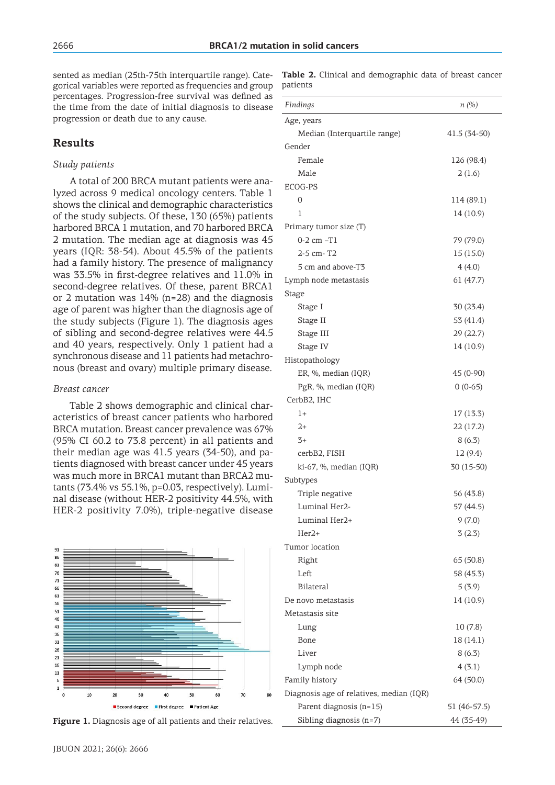sented as median (25th-75th interquartile range). Categorical variables were reported as frequencies and group patients percentages. Progression-free survival was defined as the time from the date of initial diagnosis to disease progression or death due to any cause.

### **Results**

#### *Study patients*

A total of 200 BRCA mutant patients were analyzed across 9 medical oncology centers. Table 1 shows the clinical and demographic characteristics of the study subjects. Of these, 130 (65%) patients harbored BRCA 1 mutation, and 70 harbored BRCA 2 mutation. The median age at diagnosis was 45 years (IQR: 38-54). About 45.5% of the patients had a family history. The presence of malignancy was 33.5% in first-degree relatives and 11.0% in second-degree relatives. Of these, parent BRCA1 or 2 mutation was 14% (n=28) and the diagnosis age of parent was higher than the diagnosis age of the study subjects (Figure 1). The diagnosis ages of sibling and second-degree relatives were 44.5 and 40 years, respectively. Only 1 patient had a synchronous disease and 11 patients had metachronous (breast and ovary) multiple primary disease.

#### *Breast cancer*

Table 2 shows demographic and clinical characteristics of breast cancer patients who harbored BRCA mutation. Breast cancer prevalence was 67% (95% CI 60.2 to 73.8 percent) in all patients and their median age was 41.5 years (34-50), and patients diagnosed with breast cancer under 45 years was much more in BRCA1 mutant than BRCA2 mutants (73.4% vs 55.1%, p=0.03, respectively). Luminal disease (without HER-2 positivity 44.5%, with HER-2 positivity 7.0%), triple-negative disease





|          |  | Table 2. Clinical and demographic data of breast cancer |  |  |
|----------|--|---------------------------------------------------------|--|--|
| patients |  |                                                         |  |  |

| Findings                                 | n(%)         |
|------------------------------------------|--------------|
| Age, years                               |              |
| Median (Interquartile range)             | 41.5 (34-50) |
| Gender                                   |              |
| Female                                   | 126 (98.4)   |
| Male                                     | 2(1.6)       |
| ECOG-PS                                  |              |
| 0                                        | 114 (89.1)   |
| 1                                        | 14 (10.9)    |
| Primary tumor size (T)                   |              |
| $0-2$ cm $-T1$                           | 79 (79.0)    |
| 2-5 cm-T2                                | 15 (15.0)    |
| 5 cm and above-T3                        | 4(4.0)       |
| Lymph node metastasis                    | 61(47.7)     |
| Stage                                    |              |
| Stage I                                  | 30 (23.4)    |
| Stage II                                 | 53 (41.4)    |
| Stage III                                | 29(22.7)     |
| Stage IV                                 | 14 (10.9)    |
| Histopathology                           |              |
| ER, %, median (IQR)                      | 45 (0-90)    |
| PgR, %, median (IQR)                     | $0(0-65)$    |
| CerbB2, IHC                              |              |
| 1+                                       | 17 (13.3)    |
| $2+$                                     | 22(17.2)     |
| $3+$                                     | 8(6.3)       |
| cerbB2, FISH                             | 12 (9.4)     |
| ki-67, %, median (IQR)                   | 30 (15-50)   |
| Subtypes                                 |              |
| Triple negative                          | 56 (43.8)    |
| Luminal Her2-                            | 57 (44.5)    |
| Luminal Her2+                            | 9(7.0)       |
| Her2+                                    | 3(2.3)       |
| Tumor location                           |              |
| Right                                    | 65 (50.8)    |
| Left                                     | 58 (45.3)    |
| Bilateral                                | 5(3.9)       |
| De novo metastasis                       | 14 (10.9)    |
| Metastasis site                          |              |
| Lung                                     | 10(7.8)      |
| Bone                                     | 18 (14.1)    |
| Liver                                    | 8(6.3)       |
| Lymph node                               | 4(3.1)       |
| Family history                           | 64 (50.0)    |
| Diagnosis age of relatives, median (IQR) |              |
| Parent diagnosis (n=15)                  | 51 (46-57.5) |
| Sibling diagnosis (n=7)                  | 44 (35-49)   |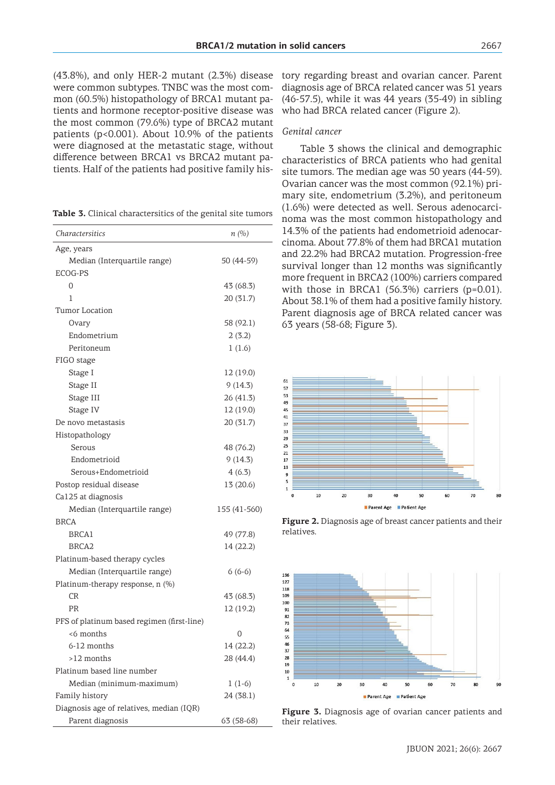(43.8%), and only HER-2 mutant (2.3%) disease were common subtypes. TNBC was the most common (60.5%) histopathology of BRCA1 mutant patients and hormone receptor-positive disease was the most common (79.6%) type of BRCA2 mutant patients (p<0.001). About 10.9% of the patients were diagnosed at the metastatic stage, without difference between BRCA1 vs BRCA2 mutant patients. Half of the patients had positive family his-

| Table 3. Clinical charactersitics of the genital site tumors |  |
|--------------------------------------------------------------|--|
|--------------------------------------------------------------|--|

| Charactersitics                            | n(%)         |
|--------------------------------------------|--------------|
| Age, years                                 |              |
| Median (Interquartile range)               | 50 (44-59)   |
| ECOG-PS                                    |              |
| 0                                          | 43 (68.3)    |
| 1                                          | 20 (31.7)    |
| Tumor Location                             |              |
| Ovary                                      | 58 (92.1)    |
| Endometrium                                | 2(3.2)       |
| Peritoneum                                 | 1(1.6)       |
| FIGO stage                                 |              |
| Stage I                                    | 12 (19.0)    |
| Stage II                                   | 9(14.3)      |
| Stage III                                  | 26 (41.3)    |
| Stage IV                                   | 12 (19.0)    |
| De novo metastasis                         | 20 (31.7)    |
| Histopathology                             |              |
| Serous                                     | 48 (76.2)    |
| Endometrioid                               | 9(14.3)      |
| Serous+Endometrioid                        | 4(6.3)       |
| Postop residual disease                    | 13 (20.6)    |
| Ca125 at diagnosis                         |              |
| Median (Interquartile range)               | 155 (41-560) |
| <b>BRCA</b>                                |              |
| <b>BRCA1</b>                               | 49 (77.8)    |
| BRCA <sub>2</sub>                          | 14 (22.2)    |
| Platinum-based therapy cycles              |              |
| Median (Interquartile range)               | $6(6-6)$     |
| Platinum-therapy response, n (%)           |              |
| CR                                         | 43 (68.3)    |
| PR                                         | 12 (19.2)    |
| PFS of platinum based regimen (first-line) |              |
| <6 months                                  | 0            |
| 6-12 months                                | 14 (22.2)    |
| >12 months                                 | 28 (44.4)    |
| Platinum based line number                 |              |
| Median (minimum-maximum)                   | $1(1-6)$     |
| Family history                             | 24 (38.1)    |
| Diagnosis age of relatives, median (IQR)   |              |
| Parent diagnosis                           | 63 (58-68)   |

tory regarding breast and ovarian cancer. Parent diagnosis age of BRCA related cancer was 51 years (46-57.5), while it was 44 years (35-49) in sibling who had BRCA related cancer (Figure 2).

### *Genital cancer*

Table 3 shows the clinical and demographic characteristics of BRCA patients who had genital site tumors. The median age was 50 years (44-59). Ovarian cancer was the most common (92.1%) primary site, endometrium (3.2%), and peritoneum (1.6%) were detected as well. Serous adenocarcinoma was the most common histopathology and 14.3% of the patients had endometrioid adenocarcinoma. About 77.8% of them had BRCA1 mutation and 22.2% had BRCA2 mutation. Progression-free survival longer than 12 months was significantly more frequent in BRCA2 (100%) carriers compared with those in BRCA1 (56.3%) carriers (p=0.01). About 38.1% of them had a positive family history. Parent diagnosis age of BRCA related cancer was 63 years (58-68; Figure 3).



**Figure 2.** Diagnosis age of breast cancer patients and their relatives.



**Figure 3.** Diagnosis age of ovarian cancer patients and their relatives.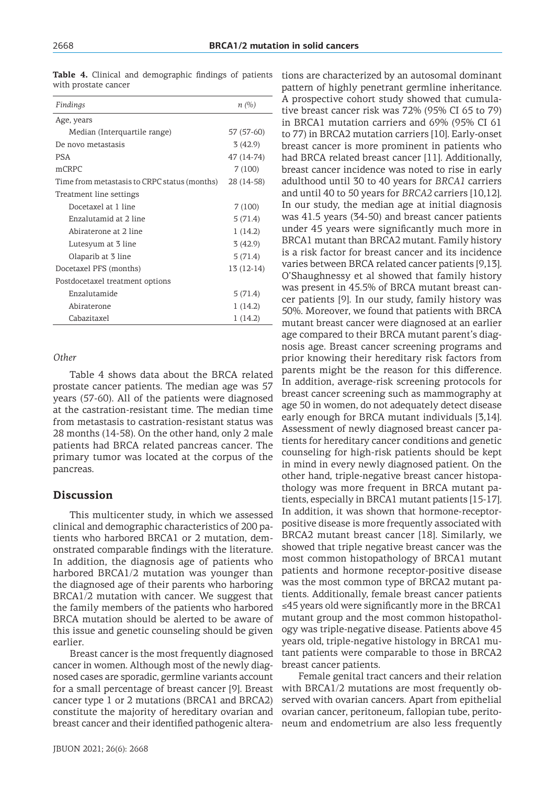| Findings                                     | n(%)        |
|----------------------------------------------|-------------|
| Age, years                                   |             |
| Median (Interquartile range)                 | 57 (57-60)  |
| De novo metastasis                           | 3(42.9)     |
| <b>PSA</b>                                   | 47 (14-74)  |
| mCRPC                                        | 7(100)      |
| Time from metastasis to CRPC status (months) | 28 (14-58)  |
| Treatment line settings                      |             |
| Docetaxel at 1 line                          | 7(100)      |
| Enzalutamid at 2 line                        | 5(71.4)     |
| Abiraterone at 2 line                        | 1(14.2)     |
| Lutesyum at 3 line                           | 3(42.9)     |
| Olaparib at 3 line                           | 5(71.4)     |
| Docetaxel PFS (months)                       | $13(12-14)$ |
| Postdocetaxel treatment options              |             |
| Enzalutamide                                 | 5(71.4)     |
| Abiraterone                                  | 1(14.2)     |
| Cabazitaxel                                  | 1(14.2)     |

**Table 4.** Clinical and demographic findings of patients with prostate cancer

#### *Other*

Table 4 shows data about the BRCA related prostate cancer patients. The median age was 57 years (57-60). All of the patients were diagnosed at the castration-resistant time. The median time from metastasis to castration-resistant status was 28 months (14-58). On the other hand, only 2 male patients had BRCA related pancreas cancer. The primary tumor was located at the corpus of the pancreas.

### **Discussion**

This multicenter study, in which we assessed clinical and demographic characteristics of 200 patients who harbored BRCA1 or 2 mutation, demonstrated comparable findings with the literature. In addition, the diagnosis age of patients who harbored BRCA1/2 mutation was younger than the diagnosed age of their parents who harboring BRCA1/2 mutation with cancer. We suggest that the family members of the patients who harbored BRCA mutation should be alerted to be aware of this issue and genetic counseling should be given earlier.

Breast cancer is the most frequently diagnosed cancer in women. Although most of the newly diagnosed cases are sporadic, germline variants account for a small percentage of breast cancer [9]. Breast cancer type 1 or 2 mutations (BRCA1 and BRCA2) constitute the majority of hereditary ovarian and breast cancer and their identified pathogenic altera-

tions are characterized by an autosomal dominant pattern of highly penetrant germline inheritance. A prospective cohort study showed that cumulative breast cancer risk was 72% (95% CI 65 to 79) in BRCA1 mutation carriers and 69% (95% CI 61 to 77) in BRCA2 mutation carriers [10]. Early-onset breast cancer is more prominent in patients who had BRCA related breast cancer [11]. Additionally, breast cancer incidence was noted to rise in early adulthood until 30 to 40 years for *BRCA1* carriers and until 40 to 50 years for *BRCA2* carriers [10,12]. In our study, the median age at initial diagnosis was 41.5 years (34-50) and breast cancer patients under 45 years were significantly much more in BRCA1 mutant than BRCA2 mutant. Family history is a risk factor for breast cancer and its incidence varies between BRCA related cancer patients [9,13]. O'Shaughnessy et al showed that family history was present in 45.5% of BRCA mutant breast cancer patients [9]. In our study, family history was 50%. Moreover, we found that patients with BRCA mutant breast cancer were diagnosed at an earlier age compared to their BRCA mutant parent's diagnosis age. Breast cancer screening programs and prior knowing their hereditary risk factors from parents might be the reason for this difference. In addition, average-risk screening protocols for breast cancer screening such as mammography at age 50 in women, do not adequately detect disease early enough for BRCA mutant individuals [3,14]. Assessment of newly diagnosed breast cancer patients for hereditary cancer conditions and genetic counseling for high-risk patients should be kept in mind in every newly diagnosed patient. On the other hand, triple-negative breast cancer histopathology was more frequent in BRCA mutant patients, especially in BRCA1 mutant patients [15-17]. In addition, it was shown that hormone-receptorpositive disease is more frequently associated with BRCA2 mutant breast cancer [18]. Similarly, we showed that triple negative breast cancer was the most common histopathology of BRCA1 mutant patients and hormone receptor-positive disease was the most common type of BRCA2 mutant patients. Additionally, female breast cancer patients ≤45 years old were significantly more in the BRCA1 mutant group and the most common histopathology was triple-negative disease. Patients above 45 years old, triple-negative histology in BRCA1 mutant patients were comparable to those in BRCA2 breast cancer patients.

Female genital tract cancers and their relation with BRCA1/2 mutations are most frequently observed with ovarian cancers. Apart from epithelial ovarian cancer, peritoneum, fallopian tube, peritoneum and endometrium are also less frequently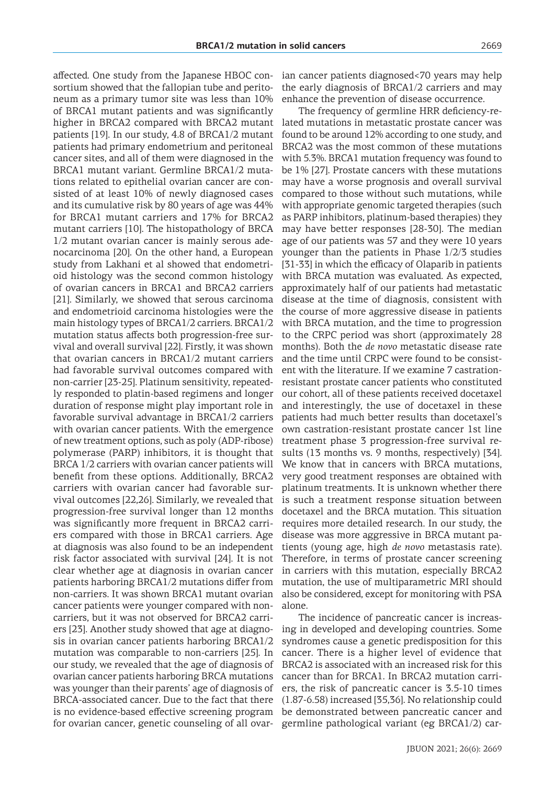affected. One study from the Japanese HBOC consortium showed that the fallopian tube and peritoneum as a primary tumor site was less than 10% of BRCA1 mutant patients and was significantly higher in BRCA2 compared with BRCA2 mutant patients [19]. In our study, 4.8 of BRCA1/2 mutant patients had primary endometrium and peritoneal cancer sites, and all of them were diagnosed in the BRCA1 mutant variant. Germline BRCA1/2 mutations related to epithelial ovarian cancer are consisted of at least 10% of newly diagnosed cases and its cumulative risk by 80 years of age was 44% for BRCA1 mutant carriers and 17% for BRCA2 mutant carriers [10]. The histopathology of BRCA 1/2 mutant ovarian cancer is mainly serous adenocarcinoma [20]. On the other hand, a European study from Lakhani et al showed that endometrioid histology was the second common histology of ovarian cancers in BRCA1 and BRCA2 carriers [21]. Similarly, we showed that serous carcinoma and endometrioid carcinoma histologies were the main histology types of BRCA1/2 carriers. BRCA1/2 mutation status affects both progression-free survival and overall survival [22]. Firstly, it was shown that ovarian cancers in BRCA1/2 mutant carriers had favorable survival outcomes compared with non-carrier [23-25]. Platinum sensitivity, repeatedly responded to platin-based regimens and longer duration of response might play important role in favorable survival advantage in BRCA1/2 carriers with ovarian cancer patients. With the emergence of new treatment options, such as poly (ADP-ribose) polymerase (PARP) inhibitors, it is thought that BRCA 1/2 carriers with ovarian cancer patients will benefit from these options. Additionally, BRCA2 carriers with ovarian cancer had favorable survival outcomes [22,26]. Similarly, we revealed that progression-free survival longer than 12 months was significantly more frequent in BRCA2 carriers compared with those in BRCA1 carriers. Age at diagnosis was also found to be an independent risk factor associated with survival [24]. It is not clear whether age at diagnosis in ovarian cancer patients harboring BRCA1/2 mutations differ from non-carriers. It was shown BRCA1 mutant ovarian cancer patients were younger compared with noncarriers, but it was not observed for BRCA2 carriers [23]. Another study showed that age at diagnosis in ovarian cancer patients harboring BRCA1/2 mutation was comparable to non-carriers [25]. In our study, we revealed that the age of diagnosis of ovarian cancer patients harboring BRCA mutations was younger than their parents' age of diagnosis of BRCA-associated cancer. Due to the fact that there is no evidence-based effective screening program for ovarian cancer, genetic counseling of all ovarian cancer patients diagnosed<70 years may help the early diagnosis of BRCA1/2 carriers and may enhance the prevention of disease occurrence.

The frequency of germline HRR deficiency-related mutations in metastatic prostate cancer was found to be around 12% according to one study, and BRCA2 was the most common of these mutations with 5.3%. BRCA1 mutation frequency was found to be 1% [27]. Prostate cancers with these mutations may have a worse prognosis and overall survival compared to those without such mutations, while with appropriate genomic targeted therapies (such as PARP inhibitors, platinum-based therapies) they may have better responses [28-30]. The median age of our patients was 57 and they were 10 years younger than the patients in Phase 1/2/3 studies [31-33] in which the efficacy of Olaparib in patients with BRCA mutation was evaluated. As expected, approximately half of our patients had metastatic disease at the time of diagnosis, consistent with the course of more aggressive disease in patients with BRCA mutation, and the time to progression to the CRPC period was short (approximately 28 months). Both the *de novo* metastatic disease rate and the time until CRPC were found to be consistent with the literature. If we examine 7 castrationresistant prostate cancer patients who constituted our cohort, all of these patients received docetaxel and interestingly, the use of docetaxel in these patients had much better results than docetaxel's own castration-resistant prostate cancer 1st line treatment phase 3 progression-free survival results (13 months vs. 9 months, respectively) [34]. We know that in cancers with BRCA mutations, very good treatment responses are obtained with platinum treatments. It is unknown whether there is such a treatment response situation between docetaxel and the BRCA mutation. This situation requires more detailed research. In our study, the disease was more aggressive in BRCA mutant patients (young age, high *de novo* metastasis rate). Therefore, in terms of prostate cancer screening in carriers with this mutation, especially BRCA2 mutation, the use of multiparametric MRI should also be considered, except for monitoring with PSA alone.

The incidence of pancreatic cancer is increasing in developed and developing countries. Some syndromes cause a genetic predisposition for this cancer. There is a higher level of evidence that BRCA2 is associated with an increased risk for this cancer than for BRCA1. In BRCA2 mutation carriers, the risk of pancreatic cancer is 3.5-10 times (1.87-6.58) increased [35,36]. No relationship could be demonstrated between pancreatic cancer and germline pathological variant (eg BRCA1/2) car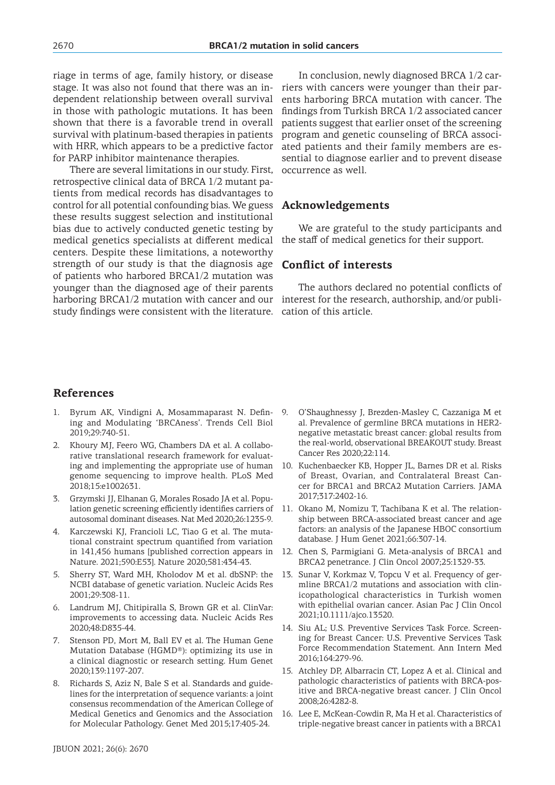riage in terms of age, family history, or disease stage. It was also not found that there was an independent relationship between overall survival in those with pathologic mutations. It has been shown that there is a favorable trend in overall survival with platinum-based therapies in patients with HRR, which appears to be a predictive factor for PARP inhibitor maintenance therapies.

There are several limitations in our study. First, retrospective clinical data of BRCA 1/2 mutant patients from medical records has disadvantages to control for all potential confounding bias. We guess these results suggest selection and institutional bias due to actively conducted genetic testing by medical genetics specialists at different medical centers. Despite these limitations, a noteworthy strength of our study is that the diagnosis age of patients who harbored BRCA1/2 mutation was younger than the diagnosed age of their parents harboring BRCA1/2 mutation with cancer and our interest for the research, authorship, and/or publistudy findings were consistent with the literature.

In conclusion, newly diagnosed BRCA 1/2 carriers with cancers were younger than their parents harboring BRCA mutation with cancer. The findings from Turkish BRCA 1/2 associated cancer patients suggest that earlier onset of the screening program and genetic counseling of BRCA associated patients and their family members are essential to diagnose earlier and to prevent disease occurrence as well.

### **Acknowledgements**

We are grateful to the study participants and the staff of medical genetics for their support.

#### **Conflict of interests**

The authors declared no potential conflicts of cation of this article.

9. O'Shaughnessy J, Brezden-Masley C, Cazzaniga M et al. Prevalence of germline BRCA mutations in HER2 negative metastatic breast cancer: global results from the real-world, observational BREAKOUT study. Breast

10. Kuchenbaecker KB, Hopper JL, Barnes DR et al. Risks of Breast, Ovarian, and Contralateral Breast Can-

### **References**

- 1. Byrum AK, Vindigni A, Mosammaparast N. Defining and Modulating 'BRCAness'. Trends Cell Biol 2019;29:740-51.
- 2. Khoury MJ, Feero WG, Chambers DA et al. A collaborative translational research framework for evaluating and implementing the appropriate use of human genome sequencing to improve health. PLoS Med 2018;15:e1002631.
- 3. Grzymski JJ, Elhanan G, Morales Rosado JA et al. Population genetic screening efficiently identifies carriers of autosomal dominant diseases. Nat Med 2020;26:1235-9.
- 4. Karczewski KJ, Francioli LC, Tiao G et al. The mutational constraint spectrum quantified from variation in 141,456 humans [published correction appears in Nature. 2021;590:E53]. Nature 2020;581:434-43.
- 5. Sherry ST, Ward MH, Kholodov M et al. dbSNP: the NCBI database of genetic variation. Nucleic Acids Res 2001;29:308-11.
- 6. Landrum MJ, Chitipiralla S, Brown GR et al. ClinVar: improvements to accessing data. Nucleic Acids Res 2020;48:D835-44.
- 7. Stenson PD, Mort M, Ball EV et al. The Human Gene Mutation Database (HGMD®): optimizing its use in a clinical diagnostic or research setting. Hum Genet 2020;139:1197-207.
- 8. Richards S, Aziz N, Bale S et al. Standards and guidelines for the interpretation of sequence variants: a joint consensus recommendation of the American College of Medical Genetics and Genomics and the Association for Molecular Pathology. Genet Med 2015;17:405-24.

cer for BRCA1 and BRCA2 Mutation Carriers. JAMA 2017;317:2402-16. 11. Okano M, Nomizu T, Tachibana K et al. The relationship between BRCA-associated breast cancer and age factors: an analysis of the Japanese HBOC consortium database. J Hum Genet 2021;66:307-14.

Cancer Res 2020;22:114.

- 12. Chen S, Parmigiani G. Meta-analysis of BRCA1 and BRCA2 penetrance. J Clin Oncol 2007;25:1329-33.
- 13. Sunar V, Korkmaz V, Topcu V et al. Frequency of germline BRCA1/2 mutations and association with clinicopathological characteristics in Turkish women with epithelial ovarian cancer. Asian Pac J Clin Oncol 2021;10.1111/ajco.13520.
- 14. Siu AL; U.S. Preventive Services Task Force. Screening for Breast Cancer: U.S. Preventive Services Task Force Recommendation Statement. Ann Intern Med 2016;164:279-96.
- 15. Atchley DP, Albarracin CT, Lopez A et al. Clinical and pathologic characteristics of patients with BRCA-positive and BRCA-negative breast cancer. J Clin Oncol 2008;26:4282-8.
- 16. Lee E, McKean-Cowdin R, Ma H et al. Characteristics of triple-negative breast cancer in patients with a BRCA1